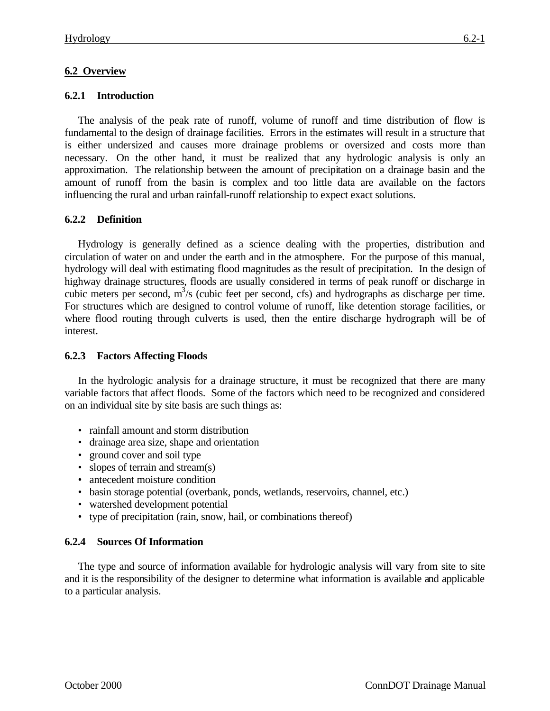# **6.2 Overview**

#### **6.2.1 Introduction**

The analysis of the peak rate of runoff, volume of runoff and time distribution of flow is fundamental to the design of drainage facilities. Errors in the estimates will result in a structure that is either undersized and causes more drainage problems or oversized and costs more than necessary. On the other hand, it must be realized that any hydrologic analysis is only an approximation. The relationship between the amount of precipitation on a drainage basin and the amount of runoff from the basin is complex and too little data are available on the factors influencing the rural and urban rainfall-runoff relationship to expect exact solutions.

## **6.2.2 Definition**

Hydrology is generally defined as a science dealing with the properties, distribution and circulation of water on and under the earth and in the atmosphere. For the purpose of this manual, hydrology will deal with estimating flood magnitudes as the result of precipitation. In the design of highway drainage structures, floods are usually considered in terms of peak runoff or discharge in cubic meters per second, m<sup>3</sup>/s (cubic feet per second, cfs) and hydrographs as discharge per time. For structures which are designed to control volume of runoff, like detention storage facilities, or where flood routing through culverts is used, then the entire discharge hydrograph will be of interest.

#### **6.2.3 Factors Affecting Floods**

In the hydrologic analysis for a drainage structure, it must be recognized that there are many variable factors that affect floods. Some of the factors which need to be recognized and considered on an individual site by site basis are such things as:

- rainfall amount and storm distribution
- drainage area size, shape and orientation
- ground cover and soil type
- slopes of terrain and stream(s)
- antecedent moisture condition
- basin storage potential (overbank, ponds, wetlands, reservoirs, channel, etc.)
- watershed development potential
- type of precipitation (rain, snow, hail, or combinations thereof)

## **6.2.4 Sources Of Information**

The type and source of information available for hydrologic analysis will vary from site to site and it is the responsibility of the designer to determine what information is available and applicable to a particular analysis.